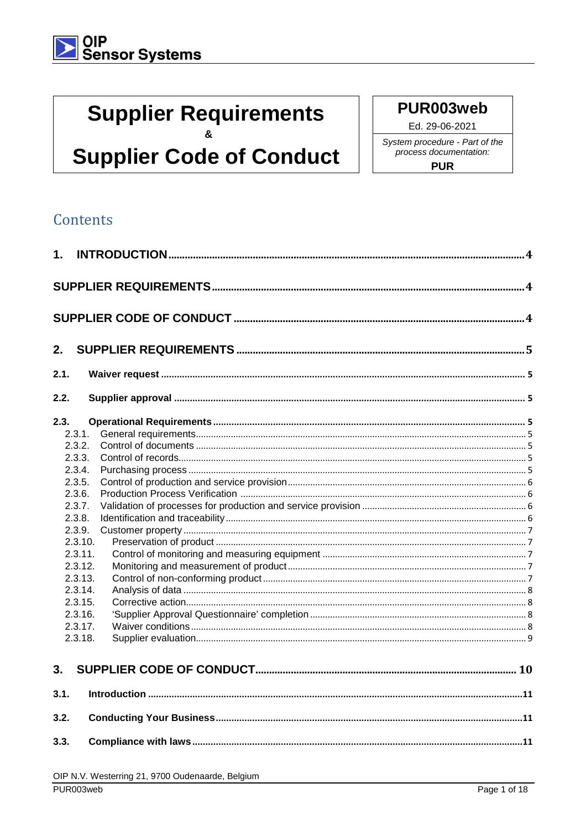## **Supplier Requirements**  $\mathbf{a}$

## **Supplier Code of Conduct**

PUR003web

Ed. 29-06-2021 System procedure - Part of the process documentation: **PUR** 

### Contents

| 1.   |                    |  |
|------|--------------------|--|
|      |                    |  |
|      |                    |  |
| 2.   |                    |  |
| 2.1. |                    |  |
| 2.2. |                    |  |
| 2.3. |                    |  |
|      | 2.3.1.             |  |
|      | 2.3.2.             |  |
|      | 2.3.3.             |  |
|      | 2.3.4.             |  |
|      | 2.3.5.             |  |
|      | 2.3.6.             |  |
|      | 2.3.7.             |  |
|      | 2.3.8.             |  |
|      | 2.3.9.             |  |
|      | 2.3.10.<br>2.3.11. |  |
|      |                    |  |
|      | 2.3.12.<br>2.3.13. |  |
|      | 2.3.14.            |  |
|      | 2.3.15.            |  |
|      | 2.3.16.            |  |
|      | 2.3.17.            |  |
|      | 2.3.18.            |  |
| 3.   |                    |  |
| 3.1. |                    |  |
| 3.2. |                    |  |
| 3.3. |                    |  |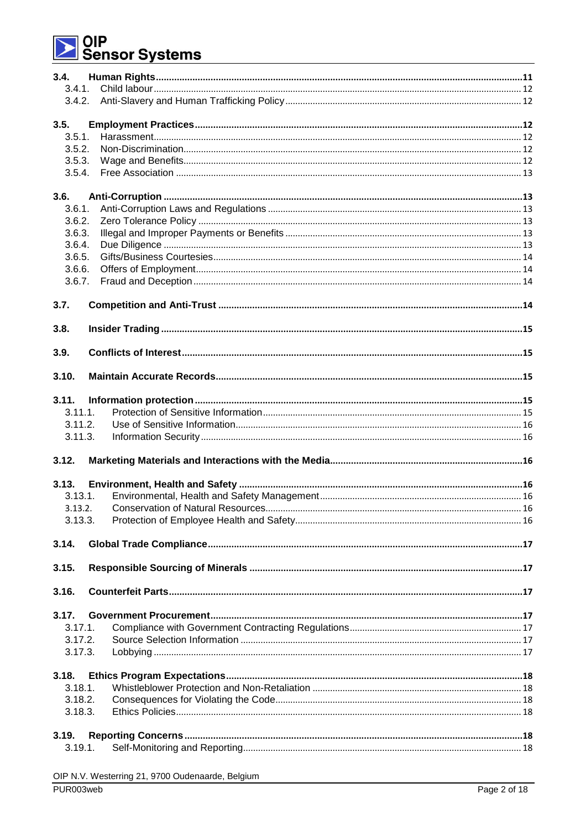# │OIP<br>│Sensor Systems

| 3.4.    |         |  |
|---------|---------|--|
| 3.4.1.  |         |  |
|         |         |  |
|         |         |  |
| 3.5.    |         |  |
| 3.5.1.  |         |  |
| 3.5.2.  |         |  |
| 3.5.3.  |         |  |
| 3.5.4.  |         |  |
| 3.6.    |         |  |
| 3.6.1.  |         |  |
| 3.6.2.  |         |  |
| 3.6.3.  |         |  |
| 3.6.4.  |         |  |
| 3.6.5.  |         |  |
| 3.6.6.  |         |  |
| 3.6.7.  |         |  |
|         |         |  |
| 3.7.    |         |  |
|         |         |  |
| 3.8.    |         |  |
| 3.9.    |         |  |
|         |         |  |
| 3.10.   |         |  |
| 3.11.   |         |  |
| 3.11.1. |         |  |
| 3.11.2. |         |  |
| 3.11.3. |         |  |
|         |         |  |
| 3.12.   |         |  |
|         |         |  |
| 3.13.   |         |  |
| 3.13.1. |         |  |
|         | 3.13.2. |  |
| 3.13.3. |         |  |
| 3.14.   |         |  |
|         |         |  |
| 3.15.   |         |  |
|         |         |  |
| 3.16.   |         |  |
| 3.17.   |         |  |
| 3.17.1. |         |  |
| 3.17.2. |         |  |
| 3.17.3. |         |  |
|         |         |  |
| 3.18.   |         |  |
| 3.18.1. |         |  |
| 3.18.2. |         |  |
| 3.18.3. |         |  |
|         |         |  |
| 3.19.   |         |  |
| 3.19.1. |         |  |
|         |         |  |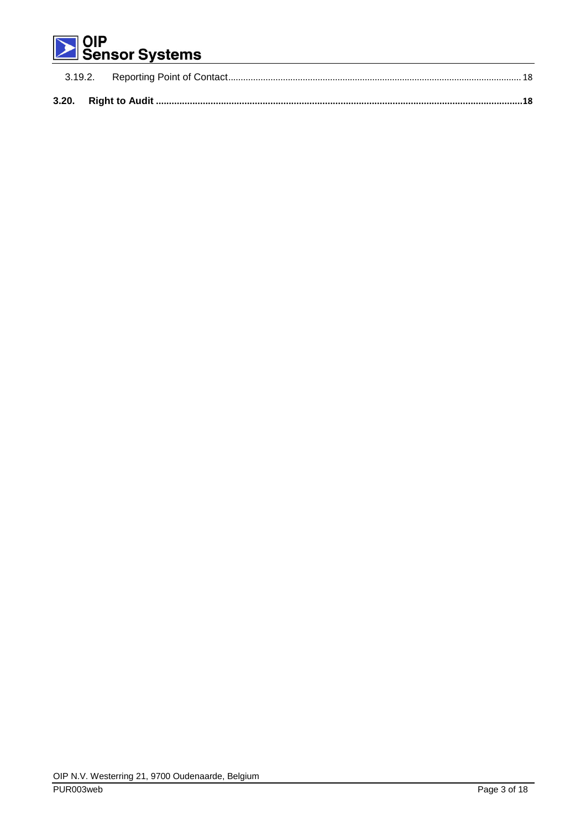# | OIP<br>| Sensor Systems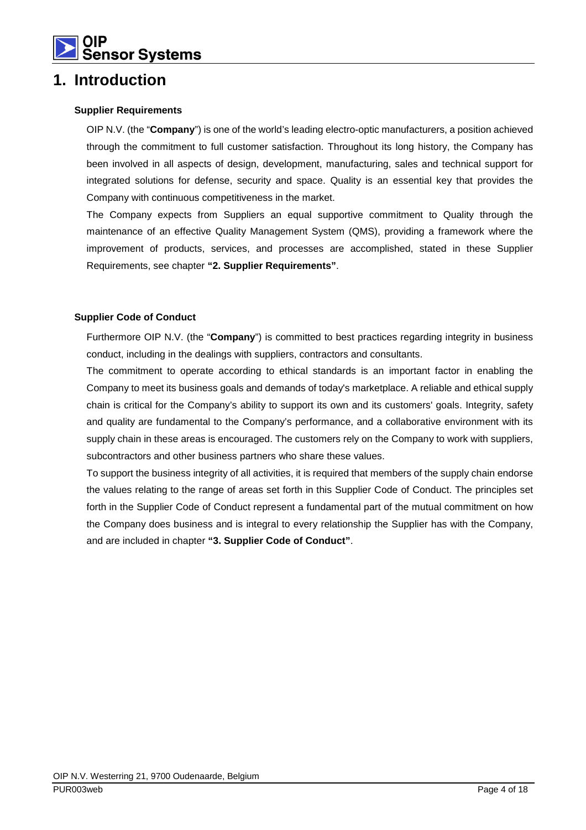

### **1. Introduction**

#### **Supplier Requirements**

OIP N.V. (the "**Company**") is one of the world's leading electro-optic manufacturers, a position achieved through the commitment to full customer satisfaction. Throughout its long history, the Company has been involved in all aspects of design, development, manufacturing, sales and technical support for integrated solutions for defense, security and space. Quality is an essential key that provides the Company with continuous competitiveness in the market.

The Company expects from Suppliers an equal supportive commitment to Quality through the maintenance of an effective Quality Management System (QMS), providing a framework where the improvement of products, services, and processes are accomplished, stated in these Supplier Requirements, see chapter **"2. Supplier Requirements"**.

#### **Supplier Code of Conduct**

Furthermore OIP N.V. (the "**Company**") is committed to best practices regarding integrity in business conduct, including in the dealings with suppliers, contractors and consultants.

The commitment to operate according to ethical standards is an important factor in enabling the Company to meet its business goals and demands of today's marketplace. A reliable and ethical supply chain is critical for the Company's ability to support its own and its customers' goals. Integrity, safety and quality are fundamental to the Company's performance, and a collaborative environment with its supply chain in these areas is encouraged. The customers rely on the Company to work with suppliers, subcontractors and other business partners who share these values.

To support the business integrity of all activities, it is required that members of the supply chain endorse the values relating to the range of areas set forth in this Supplier Code of Conduct. The principles set forth in the Supplier Code of Conduct represent a fundamental part of the mutual commitment on how the Company does business and is integral to every relationship the Supplier has with the Company, and are included in chapter **"3. Supplier Code of Conduct"**.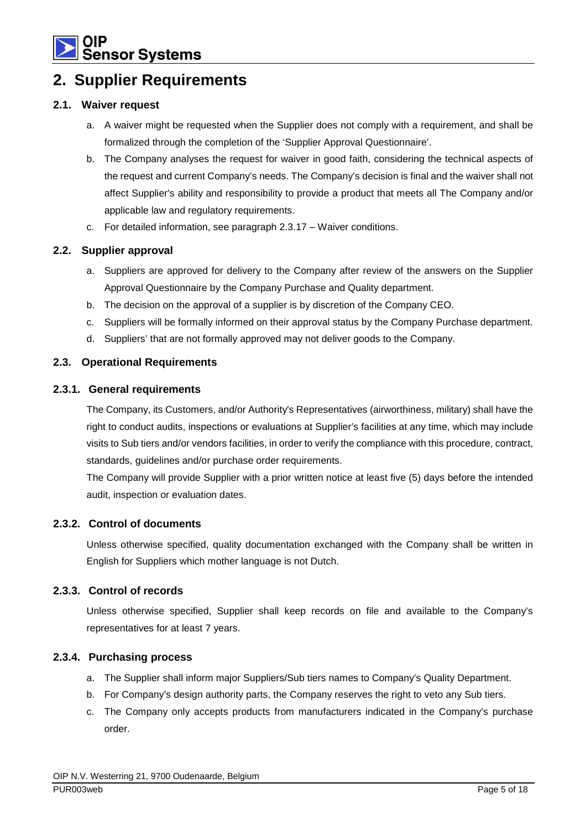

## **2. Supplier Requirements**

#### **2.1. Waiver request**

- a. A waiver might be requested when the Supplier does not comply with a requirement, and shall be formalized through the completion of the 'Supplier Approval Questionnaire'.
- b. The Company analyses the request for waiver in good faith, considering the technical aspects of the request and current Company's needs. The Company's decision is final and the waiver shall not affect Supplier's ability and responsibility to provide a product that meets all The Company and/or applicable law and regulatory requirements.
- c. For detailed information, see paragraph 2.3.17 Waiver conditions.

#### **2.2. Supplier approval**

- a. Suppliers are approved for delivery to the Company after review of the answers on the Supplier Approval Questionnaire by the Company Purchase and Quality department.
- b. The decision on the approval of a supplier is by discretion of the Company CEO.
- c. Suppliers will be formally informed on their approval status by the Company Purchase department.
- d. Suppliers' that are not formally approved may not deliver goods to the Company.

#### **2.3. Operational Requirements**

#### **2.3.1. General requirements**

The Company, its Customers, and/or Authority's Representatives (airworthiness, military) shall have the right to conduct audits, inspections or evaluations at Supplier's facilities at any time, which may include visits to Sub tiers and/or vendors facilities, in order to verify the compliance with this procedure, contract, standards, guidelines and/or purchase order requirements.

The Company will provide Supplier with a prior written notice at least five (5) days before the intended audit, inspection or evaluation dates.

#### **2.3.2. Control of documents**

Unless otherwise specified, quality documentation exchanged with the Company shall be written in English for Suppliers which mother language is not Dutch.

#### **2.3.3. Control of records**

Unless otherwise specified, Supplier shall keep records on file and available to the Company's representatives for at least 7 years.

#### **2.3.4. Purchasing process**

- a. The Supplier shall inform major Suppliers/Sub tiers names to Company's Quality Department.
- b. For Company's design authority parts, the Company reserves the right to veto any Sub tiers.
- c. The Company only accepts products from manufacturers indicated in the Company's purchase order.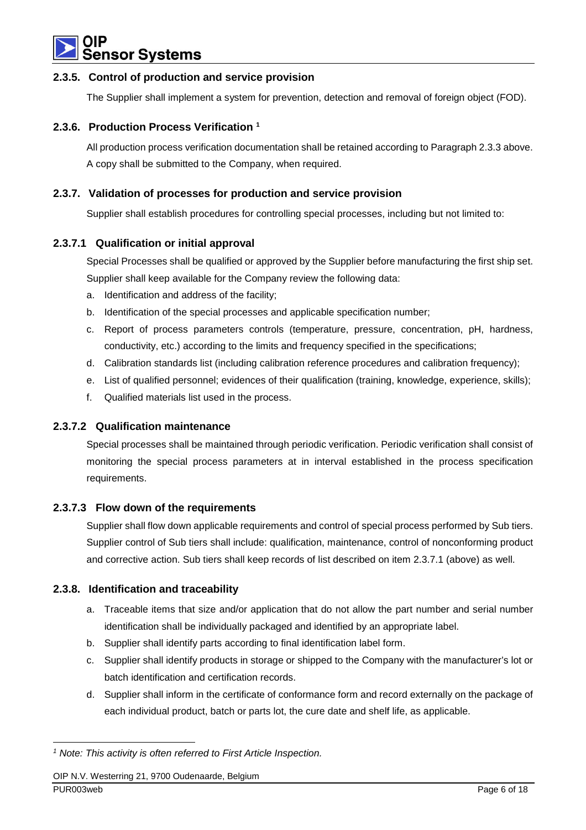

#### **2.3.5. Control of production and service provision**

The Supplier shall implement a system for prevention, detection and removal of foreign object (FOD).

#### **2.3.6. Production Process Verification <sup>1</sup>**

All production process verification documentation shall be retained according to Paragraph 2.3.3 above. A copy shall be submitted to the Company, when required.

#### **2.3.7. Validation of processes for production and service provision**

Supplier shall establish procedures for controlling special processes, including but not limited to:

#### **2.3.7.1 Qualification or initial approval**

Special Processes shall be qualified or approved by the Supplier before manufacturing the first ship set. Supplier shall keep available for the Company review the following data:

- a. Identification and address of the facility;
- b. Identification of the special processes and applicable specification number;
- c. Report of process parameters controls (temperature, pressure, concentration, pH, hardness, conductivity, etc.) according to the limits and frequency specified in the specifications;
- d. Calibration standards list (including calibration reference procedures and calibration frequency);
- e. List of qualified personnel; evidences of their qualification (training, knowledge, experience, skills);
- f. Qualified materials list used in the process.

#### **2.3.7.2 Qualification maintenance**

Special processes shall be maintained through periodic verification. Periodic verification shall consist of monitoring the special process parameters at in interval established in the process specification requirements.

#### **2.3.7.3 Flow down of the requirements**

Supplier shall flow down applicable requirements and control of special process performed by Sub tiers. Supplier control of Sub tiers shall include: qualification, maintenance, control of nonconforming product and corrective action. Sub tiers shall keep records of list described on item 2.3.7.1 (above) as well.

#### **2.3.8. Identification and traceability**

- a. Traceable items that size and/or application that do not allow the part number and serial number identification shall be individually packaged and identified by an appropriate label.
- b. Supplier shall identify parts according to final identification label form.
- c. Supplier shall identify products in storage or shipped to the Company with the manufacturer's lot or batch identification and certification records.
- d. Supplier shall inform in the certificate of conformance form and record externally on the package of each individual product, batch or parts lot, the cure date and shelf life, as applicable.

 $\overline{a}$ 

<sup>&</sup>lt;sup>1</sup> Note: This activity is often referred to First Article Inspection.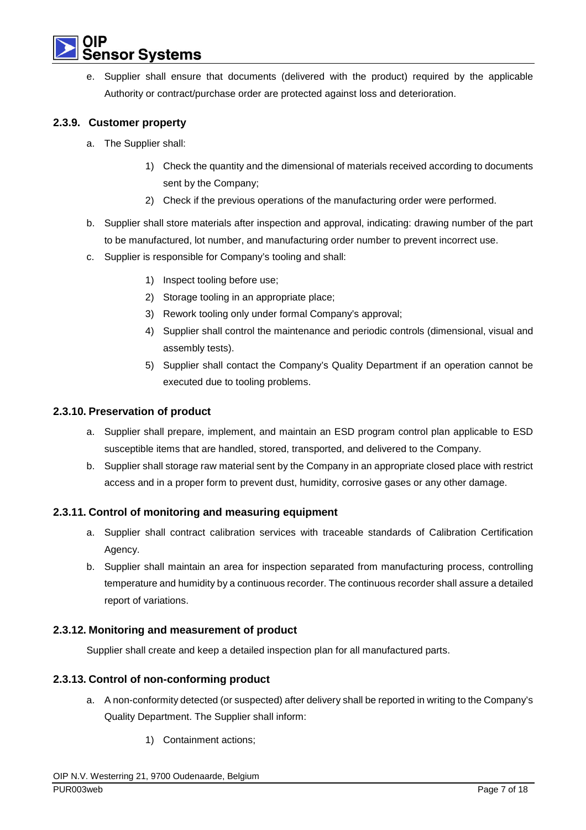

e. Supplier shall ensure that documents (delivered with the product) required by the applicable Authority or contract/purchase order are protected against loss and deterioration.

#### **2.3.9. Customer property**

- a. The Supplier shall:
	- 1) Check the quantity and the dimensional of materials received according to documents sent by the Company;
	- 2) Check if the previous operations of the manufacturing order were performed.
- b. Supplier shall store materials after inspection and approval, indicating: drawing number of the part to be manufactured, lot number, and manufacturing order number to prevent incorrect use.
- c. Supplier is responsible for Company's tooling and shall:
	- 1) Inspect tooling before use;
	- 2) Storage tooling in an appropriate place;
	- 3) Rework tooling only under formal Company's approval;
	- 4) Supplier shall control the maintenance and periodic controls (dimensional, visual and assembly tests).
	- 5) Supplier shall contact the Company's Quality Department if an operation cannot be executed due to tooling problems.

#### **2.3.10. Preservation of product**

- a. Supplier shall prepare, implement, and maintain an ESD program control plan applicable to ESD susceptible items that are handled, stored, transported, and delivered to the Company.
- b. Supplier shall storage raw material sent by the Company in an appropriate closed place with restrict access and in a proper form to prevent dust, humidity, corrosive gases or any other damage.

#### **2.3.11. Control of monitoring and measuring equipment**

- a. Supplier shall contract calibration services with traceable standards of Calibration Certification Agency.
- b. Supplier shall maintain an area for inspection separated from manufacturing process, controlling temperature and humidity by a continuous recorder. The continuous recorder shall assure a detailed report of variations.

#### **2.3.12. Monitoring and measurement of product**

Supplier shall create and keep a detailed inspection plan for all manufactured parts.

#### **2.3.13. Control of non-conforming product**

- a. A non-conformity detected (or suspected) after delivery shall be reported in writing to the Company's Quality Department. The Supplier shall inform:
	- 1) Containment actions;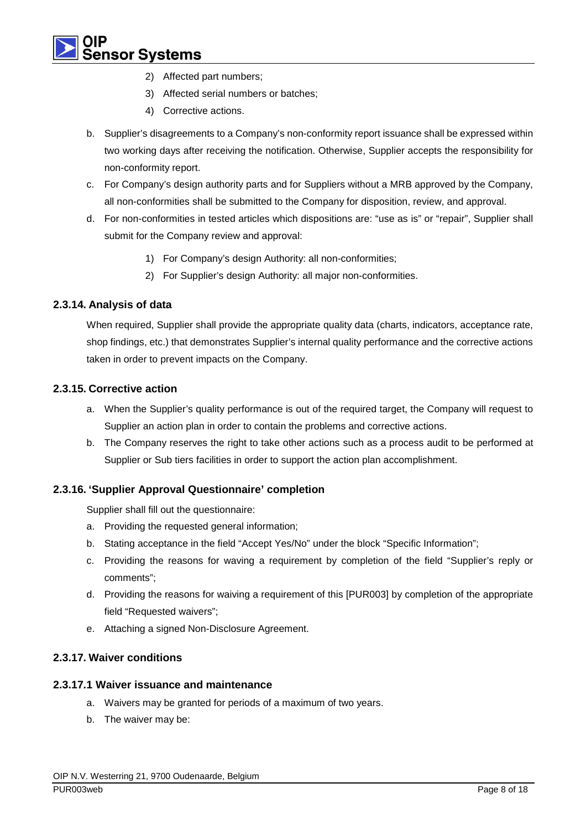## **sor Systems**

- 2) Affected part numbers;
- 3) Affected serial numbers or batches;
- 4) Corrective actions.
- b. Supplier's disagreements to a Company's non-conformity report issuance shall be expressed within two working days after receiving the notification. Otherwise, Supplier accepts the responsibility for non-conformity report.
- c. For Company's design authority parts and for Suppliers without a MRB approved by the Company, all non-conformities shall be submitted to the Company for disposition, review, and approval.
- d. For non-conformities in tested articles which dispositions are: "use as is" or "repair", Supplier shall submit for the Company review and approval:
	- 1) For Company's design Authority: all non-conformities;
	- 2) For Supplier's design Authority: all major non-conformities.

#### **2.3.14. Analysis of data**

When required, Supplier shall provide the appropriate quality data (charts, indicators, acceptance rate, shop findings, etc.) that demonstrates Supplier's internal quality performance and the corrective actions taken in order to prevent impacts on the Company.

#### **2.3.15. Corrective action**

- a. When the Supplier's quality performance is out of the required target, the Company will request to Supplier an action plan in order to contain the problems and corrective actions.
- b. The Company reserves the right to take other actions such as a process audit to be performed at Supplier or Sub tiers facilities in order to support the action plan accomplishment.

#### **2.3.16. 'Supplier Approval Questionnaire' completion**

Supplier shall fill out the questionnaire:

- a. Providing the requested general information;
- b. Stating acceptance in the field "Accept Yes/No" under the block "Specific Information";
- c. Providing the reasons for waving a requirement by completion of the field "Supplier's reply or comments";
- d. Providing the reasons for waiving a requirement of this [PUR003] by completion of the appropriate field "Requested waivers";
- e. Attaching a signed Non-Disclosure Agreement.

#### **2.3.17. Waiver conditions**

#### **2.3.17.1 Waiver issuance and maintenance**

- a. Waivers may be granted for periods of a maximum of two years.
- b. The waiver may be: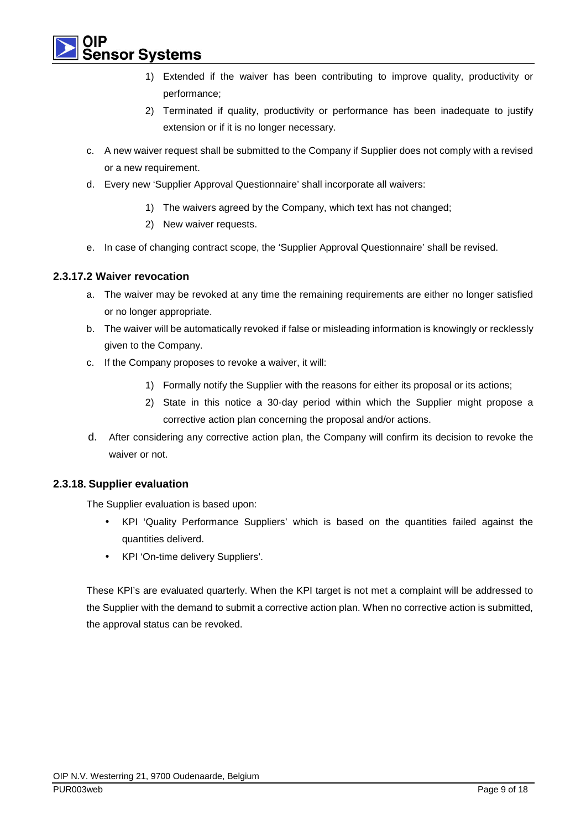ısor Svstems

- 1) Extended if the waiver has been contributing to improve quality, productivity or performance;
- 2) Terminated if quality, productivity or performance has been inadequate to justify extension or if it is no longer necessary.
- c. A new waiver request shall be submitted to the Company if Supplier does not comply with a revised or a new requirement.
- d. Every new 'Supplier Approval Questionnaire' shall incorporate all waivers:
	- 1) The waivers agreed by the Company, which text has not changed;
	- 2) New waiver requests.
- e. In case of changing contract scope, the 'Supplier Approval Questionnaire' shall be revised.

#### **2.3.17.2 Waiver revocation**

- a. The waiver may be revoked at any time the remaining requirements are either no longer satisfied or no longer appropriate.
- b. The waiver will be automatically revoked if false or misleading information is knowingly or recklessly given to the Company.
- c. If the Company proposes to revoke a waiver, it will:
	- 1) Formally notify the Supplier with the reasons for either its proposal or its actions;
	- 2) State in this notice a 30-day period within which the Supplier might propose a corrective action plan concerning the proposal and/or actions.
- d. After considering any corrective action plan, the Company will confirm its decision to revoke the waiver or not.

#### **2.3.18. Supplier evaluation**

The Supplier evaluation is based upon:

- KPI 'Quality Performance Suppliers' which is based on the quantities failed against the quantities deliverd.
- KPI 'On-time delivery Suppliers'.

These KPI's are evaluated quarterly. When the KPI target is not met a complaint will be addressed to the Supplier with the demand to submit a corrective action plan. When no corrective action is submitted, the approval status can be revoked.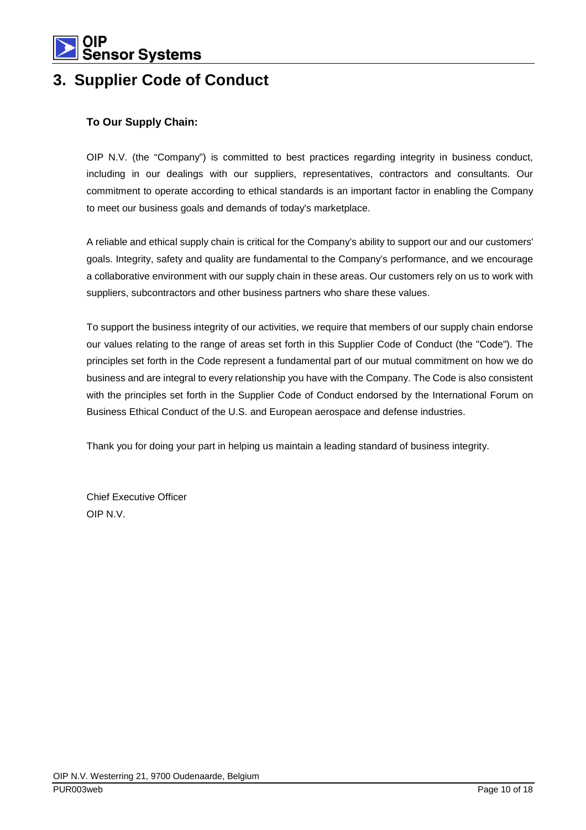

## **3. Supplier Code of Conduct**

#### **To Our Supply Chain:**

OIP N.V. (the "Company") is committed to best practices regarding integrity in business conduct, including in our dealings with our suppliers, representatives, contractors and consultants. Our commitment to operate according to ethical standards is an important factor in enabling the Company to meet our business goals and demands of today's marketplace.

A reliable and ethical supply chain is critical for the Company's ability to support our and our customers' goals. Integrity, safety and quality are fundamental to the Company's performance, and we encourage a collaborative environment with our supply chain in these areas. Our customers rely on us to work with suppliers, subcontractors and other business partners who share these values.

To support the business integrity of our activities, we require that members of our supply chain endorse our values relating to the range of areas set forth in this Supplier Code of Conduct (the "Code"). The principles set forth in the Code represent a fundamental part of our mutual commitment on how we do business and are integral to every relationship you have with the Company. The Code is also consistent with the principles set forth in the Supplier Code of Conduct endorsed by the International Forum on Business Ethical Conduct of the U.S. and European aerospace and defense industries.

Thank you for doing your part in helping us maintain a leading standard of business integrity.

Chief Executive Officer OIP N.V.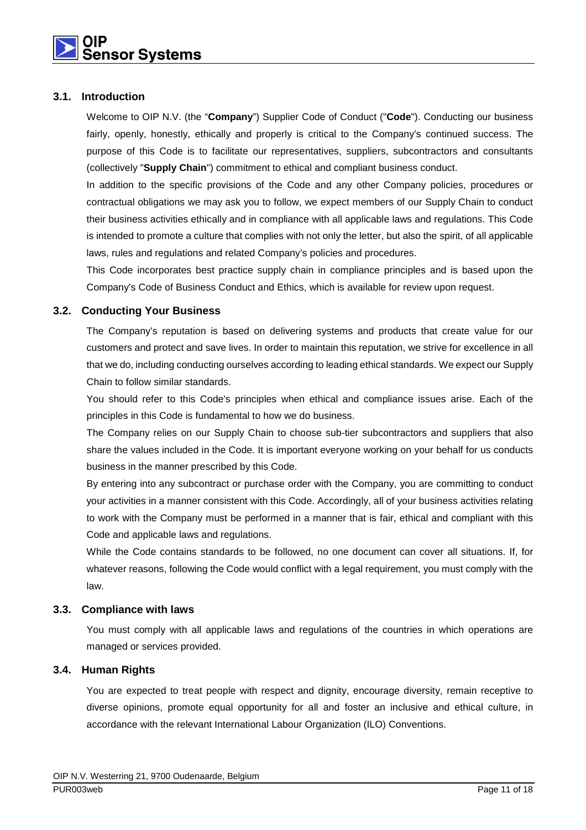#### **3.1. Introduction**

Welcome to OIP N.V. (the "**Company**") Supplier Code of Conduct ("**Code**"). Conducting our business fairly, openly, honestly, ethically and properly is critical to the Company's continued success. The purpose of this Code is to facilitate our representatives, suppliers, subcontractors and consultants (collectively "**Supply Chain**") commitment to ethical and compliant business conduct.

In addition to the specific provisions of the Code and any other Company policies, procedures or contractual obligations we may ask you to follow, we expect members of our Supply Chain to conduct their business activities ethically and in compliance with all applicable laws and regulations. This Code is intended to promote a culture that complies with not only the letter, but also the spirit, of all applicable laws, rules and regulations and related Company's policies and procedures.

This Code incorporates best practice supply chain in compliance principles and is based upon the Company's Code of Business Conduct and Ethics, which is available for review upon request.

#### **3.2. Conducting Your Business**

The Company's reputation is based on delivering systems and products that create value for our customers and protect and save lives. In order to maintain this reputation, we strive for excellence in all that we do, including conducting ourselves according to leading ethical standards. We expect our Supply Chain to follow similar standards.

You should refer to this Code's principles when ethical and compliance issues arise. Each of the principles in this Code is fundamental to how we do business.

The Company relies on our Supply Chain to choose sub-tier subcontractors and suppliers that also share the values included in the Code. It is important everyone working on your behalf for us conducts business in the manner prescribed by this Code.

By entering into any subcontract or purchase order with the Company, you are committing to conduct your activities in a manner consistent with this Code. Accordingly, all of your business activities relating to work with the Company must be performed in a manner that is fair, ethical and compliant with this Code and applicable laws and regulations.

While the Code contains standards to be followed, no one document can cover all situations. If, for whatever reasons, following the Code would conflict with a legal requirement, you must comply with the law.

#### **3.3. Compliance with laws**

You must comply with all applicable laws and regulations of the countries in which operations are managed or services provided.

#### **3.4. Human Rights**

You are expected to treat people with respect and dignity, encourage diversity, remain receptive to diverse opinions, promote equal opportunity for all and foster an inclusive and ethical culture, in accordance with the relevant International Labour Organization (ILO) Conventions.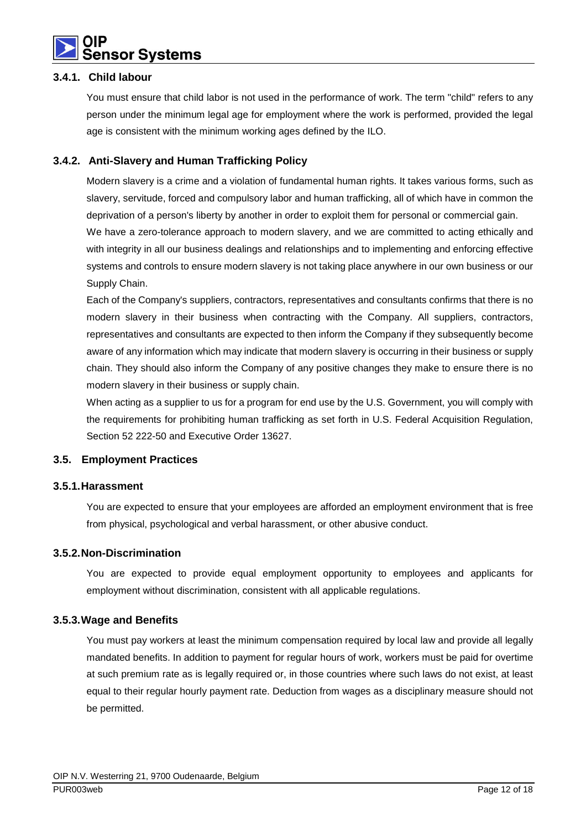

#### **3.4.1. Child labour**

You must ensure that child labor is not used in the performance of work. The term "child" refers to any person under the minimum legal age for employment where the work is performed, provided the legal age is consistent with the minimum working ages defined by the ILO.

#### **3.4.2. Anti-Slavery and Human Trafficking Policy**

Modern slavery is a crime and a violation of fundamental human rights. It takes various forms, such as slavery, servitude, forced and compulsory labor and human trafficking, all of which have in common the deprivation of a person's liberty by another in order to exploit them for personal or commercial gain.

We have a zero-tolerance approach to modern slavery, and we are committed to acting ethically and with integrity in all our business dealings and relationships and to implementing and enforcing effective systems and controls to ensure modern slavery is not taking place anywhere in our own business or our Supply Chain.

Each of the Company's suppliers, contractors, representatives and consultants confirms that there is no modern slavery in their business when contracting with the Company. All suppliers, contractors, representatives and consultants are expected to then inform the Company if they subsequently become aware of any information which may indicate that modern slavery is occurring in their business or supply chain. They should also inform the Company of any positive changes they make to ensure there is no modern slavery in their business or supply chain.

When acting as a supplier to us for a program for end use by the U.S. Government, you will comply with the requirements for prohibiting human trafficking as set forth in U.S. Federal Acquisition Regulation, Section 52 222-50 and Executive Order 13627.

#### **3.5. Employment Practices**

#### **3.5.1. Harassment**

You are expected to ensure that your employees are afforded an employment environment that is free from physical, psychological and verbal harassment, or other abusive conduct.

#### **3.5.2. Non-Discrimination**

You are expected to provide equal employment opportunity to employees and applicants for employment without discrimination, consistent with all applicable regulations.

#### **3.5.3. Wage and Benefits**

You must pay workers at least the minimum compensation required by local law and provide all legally mandated benefits. In addition to payment for regular hours of work, workers must be paid for overtime at such premium rate as is legally required or, in those countries where such laws do not exist, at least equal to their regular hourly payment rate. Deduction from wages as a disciplinary measure should not be permitted.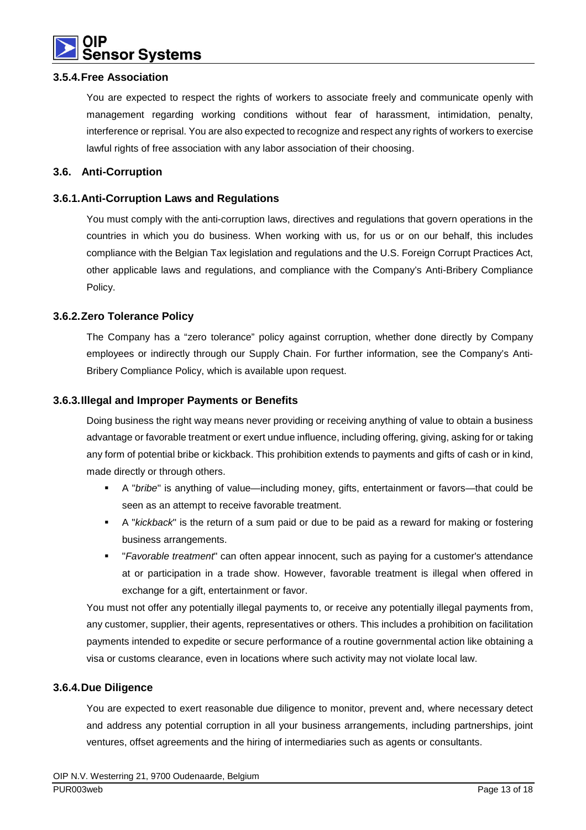

#### **3.5.4. Free Association**

You are expected to respect the rights of workers to associate freely and communicate openly with management regarding working conditions without fear of harassment, intimidation, penalty, interference or reprisal. You are also expected to recognize and respect any rights of workers to exercise lawful rights of free association with any labor association of their choosing.

#### **3.6. Anti-Corruption**

#### **3.6.1. Anti-Corruption Laws and Regulations**

You must comply with the anti-corruption laws, directives and regulations that govern operations in the countries in which you do business. When working with us, for us or on our behalf, this includes compliance with the Belgian Tax legislation and regulations and the U.S. Foreign Corrupt Practices Act, other applicable laws and regulations, and compliance with the Company's Anti-Bribery Compliance Policy.

#### **3.6.2. Zero Tolerance Policy**

The Company has a "zero tolerance" policy against corruption, whether done directly by Company employees or indirectly through our Supply Chain. For further information, see the Company's Anti-Bribery Compliance Policy, which is available upon request.

#### **3.6.3. Illegal and Improper Payments or Benefits**

Doing business the right way means never providing or receiving anything of value to obtain a business advantage or favorable treatment or exert undue influence, including offering, giving, asking for or taking any form of potential bribe or kickback. This prohibition extends to payments and gifts of cash or in kind, made directly or through others.

- A "bribe" is anything of value—including money, gifts, entertainment or favors—that could be seen as an attempt to receive favorable treatment.
- A "kickback" is the return of a sum paid or due to be paid as a reward for making or fostering business arrangements.
- " "Favorable treatment" can often appear innocent, such as paying for a customer's attendance at or participation in a trade show. However, favorable treatment is illegal when offered in exchange for a gift, entertainment or favor.

You must not offer any potentially illegal payments to, or receive any potentially illegal payments from, any customer, supplier, their agents, representatives or others. This includes a prohibition on facilitation payments intended to expedite or secure performance of a routine governmental action like obtaining a visa or customs clearance, even in locations where such activity may not violate local law.

#### **3.6.4. Due Diligence**

You are expected to exert reasonable due diligence to monitor, prevent and, where necessary detect and address any potential corruption in all your business arrangements, including partnerships, joint ventures, offset agreements and the hiring of intermediaries such as agents or consultants.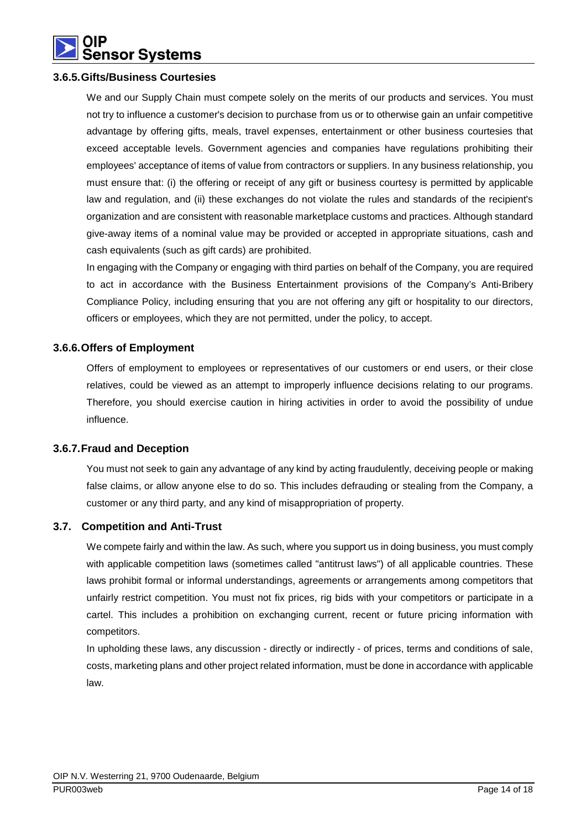

#### **3.6.5. Gifts/Business Courtesies**

We and our Supply Chain must compete solely on the merits of our products and services. You must not try to influence a customer's decision to purchase from us or to otherwise gain an unfair competitive advantage by offering gifts, meals, travel expenses, entertainment or other business courtesies that exceed acceptable levels. Government agencies and companies have regulations prohibiting their employees' acceptance of items of value from contractors or suppliers. In any business relationship, you must ensure that: (i) the offering or receipt of any gift or business courtesy is permitted by applicable law and regulation, and (ii) these exchanges do not violate the rules and standards of the recipient's organization and are consistent with reasonable marketplace customs and practices. Although standard give-away items of a nominal value may be provided or accepted in appropriate situations, cash and cash equivalents (such as gift cards) are prohibited.

In engaging with the Company or engaging with third parties on behalf of the Company, you are required to act in accordance with the Business Entertainment provisions of the Company's Anti-Bribery Compliance Policy, including ensuring that you are not offering any gift or hospitality to our directors, officers or employees, which they are not permitted, under the policy, to accept.

#### **3.6.6. Offers of Employment**

Offers of employment to employees or representatives of our customers or end users, or their close relatives, could be viewed as an attempt to improperly influence decisions relating to our programs. Therefore, you should exercise caution in hiring activities in order to avoid the possibility of undue influence.

#### **3.6.7. Fraud and Deception**

You must not seek to gain any advantage of any kind by acting fraudulently, deceiving people or making false claims, or allow anyone else to do so. This includes defrauding or stealing from the Company, a customer or any third party, and any kind of misappropriation of property.

#### **3.7. Competition and Anti-Trust**

We compete fairly and within the law. As such, where you support us in doing business, you must comply with applicable competition laws (sometimes called "antitrust laws") of all applicable countries. These laws prohibit formal or informal understandings, agreements or arrangements among competitors that unfairly restrict competition. You must not fix prices, rig bids with your competitors or participate in a cartel. This includes a prohibition on exchanging current, recent or future pricing information with competitors.

In upholding these laws, any discussion - directly or indirectly - of prices, terms and conditions of sale, costs, marketing plans and other project related information, must be done in accordance with applicable law.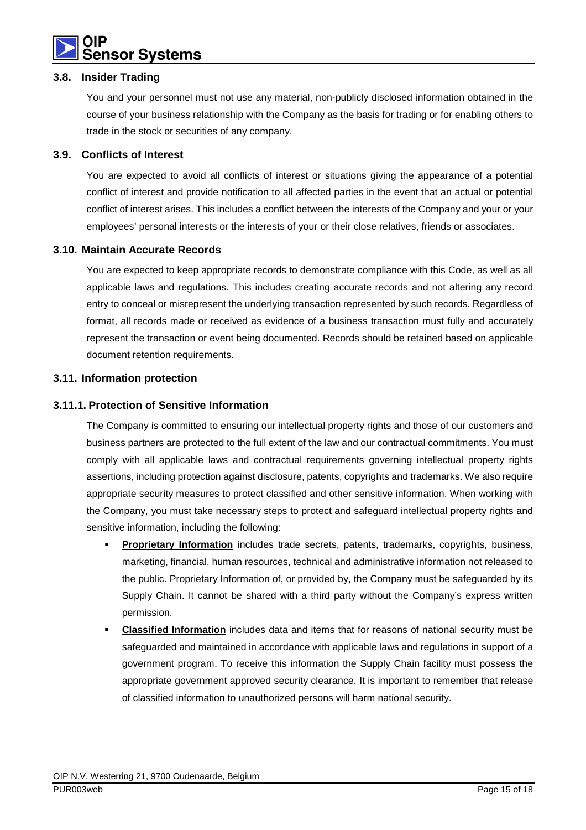

#### **3.8. Insider Trading**

You and your personnel must not use any material, non-publicly disclosed information obtained in the course of your business relationship with the Company as the basis for trading or for enabling others to trade in the stock or securities of any company.

#### **3.9. Conflicts of Interest**

You are expected to avoid all conflicts of interest or situations giving the appearance of a potential conflict of interest and provide notification to all affected parties in the event that an actual or potential conflict of interest arises. This includes a conflict between the interests of the Company and your or your employees' personal interests or the interests of your or their close relatives, friends or associates.

#### **3.10. Maintain Accurate Records**

You are expected to keep appropriate records to demonstrate compliance with this Code, as well as all applicable laws and regulations. This includes creating accurate records and not altering any record entry to conceal or misrepresent the underlying transaction represented by such records. Regardless of format, all records made or received as evidence of a business transaction must fully and accurately represent the transaction or event being documented. Records should be retained based on applicable document retention requirements.

#### **3.11. Information protection**

#### **3.11.1. Protection of Sensitive Information**

The Company is committed to ensuring our intellectual property rights and those of our customers and business partners are protected to the full extent of the law and our contractual commitments. You must comply with all applicable laws and contractual requirements governing intellectual property rights assertions, including protection against disclosure, patents, copyrights and trademarks. We also require appropriate security measures to protect classified and other sensitive information. When working with the Company, you must take necessary steps to protect and safeguard intellectual property rights and sensitive information, including the following:

- **Proprietary Information** includes trade secrets, patents, trademarks, copyrights, business, marketing, financial, human resources, technical and administrative information not released to the public. Proprietary Information of, or provided by, the Company must be safeguarded by its Supply Chain. It cannot be shared with a third party without the Company's express written permission.
- **Classified Information** includes data and items that for reasons of national security must be safeguarded and maintained in accordance with applicable laws and regulations in support of a government program. To receive this information the Supply Chain facility must possess the appropriate government approved security clearance. It is important to remember that release of classified information to unauthorized persons will harm national security.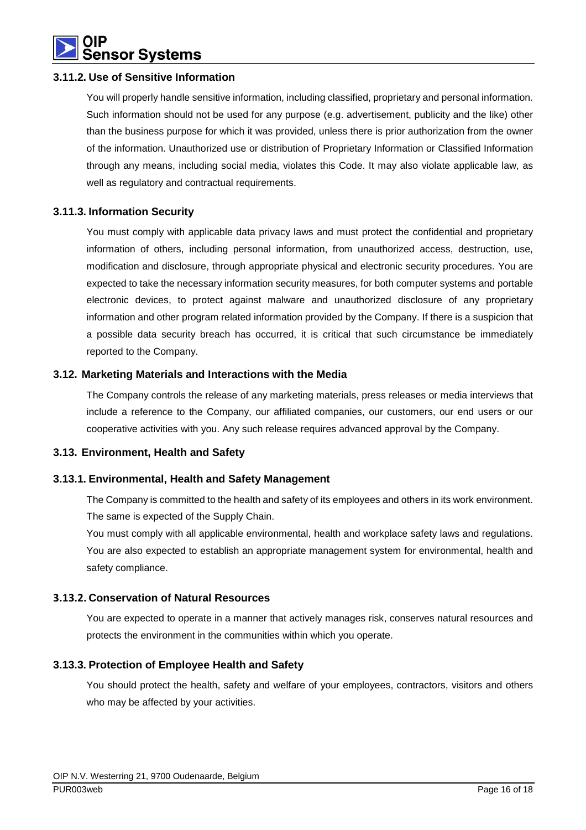

#### **3.11.2. Use of Sensitive Information**

You will properly handle sensitive information, including classified, proprietary and personal information. Such information should not be used for any purpose (e.g. advertisement, publicity and the like) other than the business purpose for which it was provided, unless there is prior authorization from the owner of the information. Unauthorized use or distribution of Proprietary Information or Classified Information through any means, including social media, violates this Code. It may also violate applicable law, as well as regulatory and contractual requirements.

#### **3.11.3. Information Security**

You must comply with applicable data privacy laws and must protect the confidential and proprietary information of others, including personal information, from unauthorized access, destruction, use, modification and disclosure, through appropriate physical and electronic security procedures. You are expected to take the necessary information security measures, for both computer systems and portable electronic devices, to protect against malware and unauthorized disclosure of any proprietary information and other program related information provided by the Company. If there is a suspicion that a possible data security breach has occurred, it is critical that such circumstance be immediately reported to the Company.

#### **3.12. Marketing Materials and Interactions with the Media**

The Company controls the release of any marketing materials, press releases or media interviews that include a reference to the Company, our affiliated companies, our customers, our end users or our cooperative activities with you. Any such release requires advanced approval by the Company.

#### **3.13. Environment, Health and Safety**

#### **3.13.1. Environmental, Health and Safety Management**

The Company is committed to the health and safety of its employees and others in its work environment. The same is expected of the Supply Chain.

You must comply with all applicable environmental, health and workplace safety laws and regulations. You are also expected to establish an appropriate management system for environmental, health and safety compliance.

#### **3.13.2. Conservation of Natural Resources**

You are expected to operate in a manner that actively manages risk, conserves natural resources and protects the environment in the communities within which you operate.

#### **3.13.3. Protection of Employee Health and Safety**

You should protect the health, safety and welfare of your employees, contractors, visitors and others who may be affected by your activities.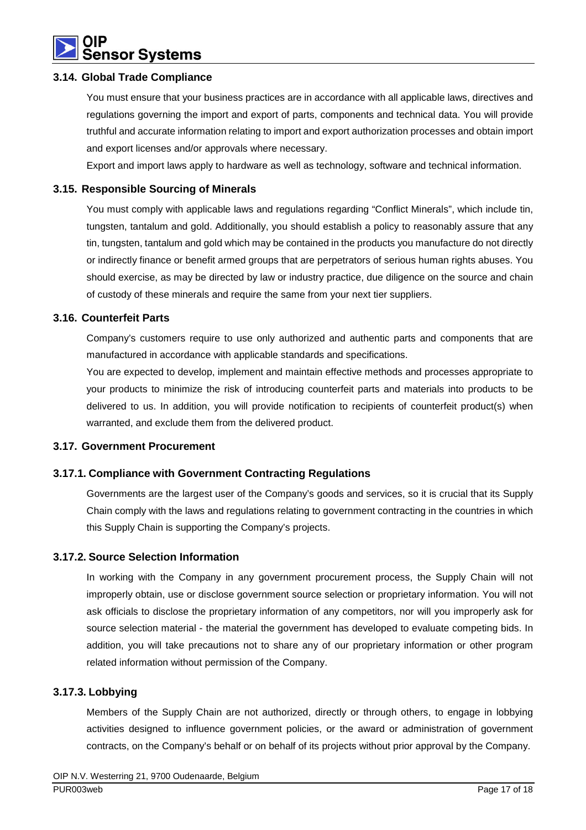

#### **3.14. Global Trade Compliance**

You must ensure that your business practices are in accordance with all applicable laws, directives and regulations governing the import and export of parts, components and technical data. You will provide truthful and accurate information relating to import and export authorization processes and obtain import and export licenses and/or approvals where necessary.

Export and import laws apply to hardware as well as technology, software and technical information.

#### **3.15. Responsible Sourcing of Minerals**

You must comply with applicable laws and regulations regarding "Conflict Minerals", which include tin, tungsten, tantalum and gold. Additionally, you should establish a policy to reasonably assure that any tin, tungsten, tantalum and gold which may be contained in the products you manufacture do not directly or indirectly finance or benefit armed groups that are perpetrators of serious human rights abuses. You should exercise, as may be directed by law or industry practice, due diligence on the source and chain of custody of these minerals and require the same from your next tier suppliers.

#### **3.16. Counterfeit Parts**

Company's customers require to use only authorized and authentic parts and components that are manufactured in accordance with applicable standards and specifications.

You are expected to develop, implement and maintain effective methods and processes appropriate to your products to minimize the risk of introducing counterfeit parts and materials into products to be delivered to us. In addition, you will provide notification to recipients of counterfeit product(s) when warranted, and exclude them from the delivered product.

#### **3.17. Government Procurement**

#### **3.17.1. Compliance with Government Contracting Regulations**

Governments are the largest user of the Company's goods and services, so it is crucial that its Supply Chain comply with the laws and regulations relating to government contracting in the countries in which this Supply Chain is supporting the Company's projects.

#### **3.17.2. Source Selection Information**

In working with the Company in any government procurement process, the Supply Chain will not improperly obtain, use or disclose government source selection or proprietary information. You will not ask officials to disclose the proprietary information of any competitors, nor will you improperly ask for source selection material - the material the government has developed to evaluate competing bids. In addition, you will take precautions not to share any of our proprietary information or other program related information without permission of the Company.

#### **3.17.3. Lobbying**

Members of the Supply Chain are not authorized, directly or through others, to engage in lobbying activities designed to influence government policies, or the award or administration of government contracts, on the Company's behalf or on behalf of its projects without prior approval by the Company.